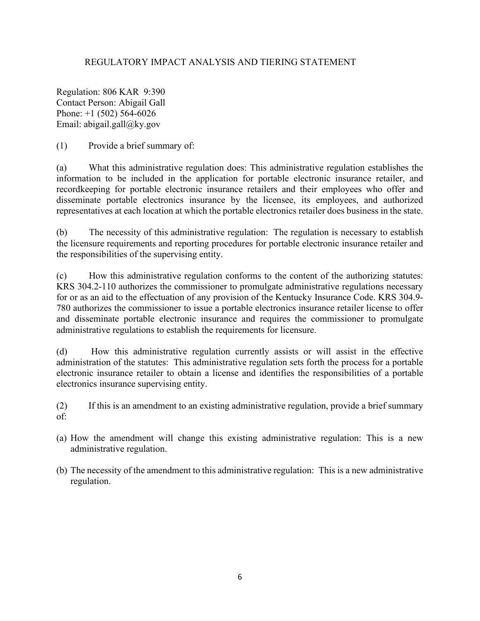## REGULATORY IMPACT ANALYSIS AND TIERING STATEMENT

Regulation: 806 KAR 9:390 Contact Person: Abigail Gall Phone: +1 (502) 564-6026 Email: abigail.gall@ky.gov

(1) Provide a brief summary of:

(a) What this administrative regulation does: This administrative regulation establishes the information to be included in the application for portable electronic insurance retailer, and recordkeeping for portable electronic insurance retailers and their employees who offer and disseminate portable electronics insurance by the licensee, its employees, and authorized representatives at each location at which the portable electronics retailer does business in the state.

(b) The necessity of this administrative regulation: The regulation is necessary to establish the licensure requirements and reporting procedures for portable electronic insurance retailer and the responsibilities of the supervising entity.

(c) How this administrative regulation conforms to the content of the authorizing statutes: KRS 304.2-110 authorizes the commissioner to promulgate administrative regulations necessary for or as an aid to the effectuation of any provision of the Kentucky Insurance Code. KRS 304.9- 780 authorizes the commissioner to issue a portable electronics insurance retailer license to offer and disseminate portable electronic insurance and requires the commissioner to promulgate administrative regulations to establish the requirements for licensure.

(d) How this administrative regulation currently assists or will assist in the effective administration of the statutes: This administrative regulation sets forth the process for a portable electronic insurance retailer to obtain a license and identifies the responsibilities of a portable electronics insurance supervising entity.

(2) If this is an amendment to an existing administrative regulation, provide a brief summary of:

- (a) How the amendment will change this existing administrative regulation: This is a new administrative regulation.
- (b) The necessity of the amendment to this administrative regulation: This is a new administrative regulation.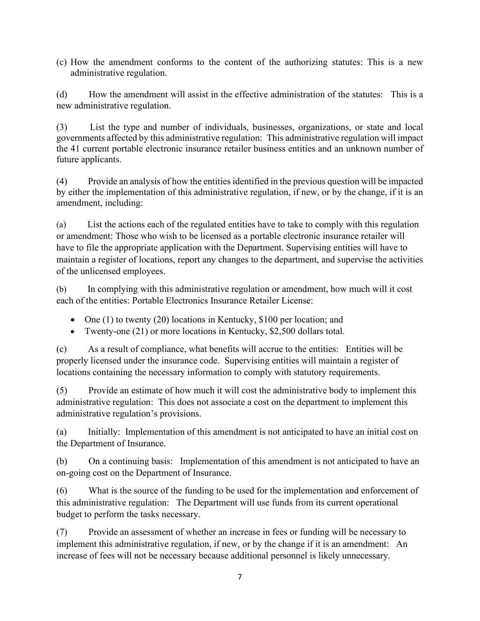(c) How the amendment conforms to the content of the authorizing statutes: This is a new administrative regulation.

(d) How the amendment will assist in the effective administration of the statutes: This is a new administrative regulation.

(3) List the type and number of individuals, businesses, organizations, or state and local governments affected by this administrative regulation: This administrative regulation will impact the 41 current portable electronic insurance retailer business entities and an unknown number of future applicants.

(4) Provide an analysis of how the entities identified in the previous question will be impacted by either the implementation of this administrative regulation, if new, or by the change, if it is an amendment, including:

(a) List the actions each of the regulated entities have to take to comply with this regulation or amendment: Those who wish to be licensed as a portable electronic insurance retailer will have to file the appropriate application with the Department. Supervising entities will have to maintain a register of locations, report any changes to the department, and supervise the activities of the unlicensed employees.

(b) In complying with this administrative regulation or amendment, how much will it cost each of the entities: Portable Electronics Insurance Retailer License:

- One (1) to twenty (20) locations in Kentucky, \$100 per location; and
- Twenty-one (21) or more locations in Kentucky, \$2,500 dollars total.

(c) As a result of compliance, what benefits will accrue to the entities: Entities will be properly licensed under the insurance code. Supervising entities will maintain a register of locations containing the necessary information to comply with statutory requirements.

(5) Provide an estimate of how much it will cost the administrative body to implement this administrative regulation: This does not associate a cost on the department to implement this administrative regulation's provisions.

(a) Initially: Implementation of this amendment is not anticipated to have an initial cost on the Department of Insurance.

(b) On a continuing basis: Implementation of this amendment is not anticipated to have an on-going cost on the Department of Insurance.

(6) What is the source of the funding to be used for the implementation and enforcement of this administrative regulation: The Department will use funds from its current operational budget to perform the tasks necessary.

(7) Provide an assessment of whether an increase in fees or funding will be necessary to implement this administrative regulation, if new, or by the change if it is an amendment: An increase of fees will not be necessary because additional personnel is likely unnecessary.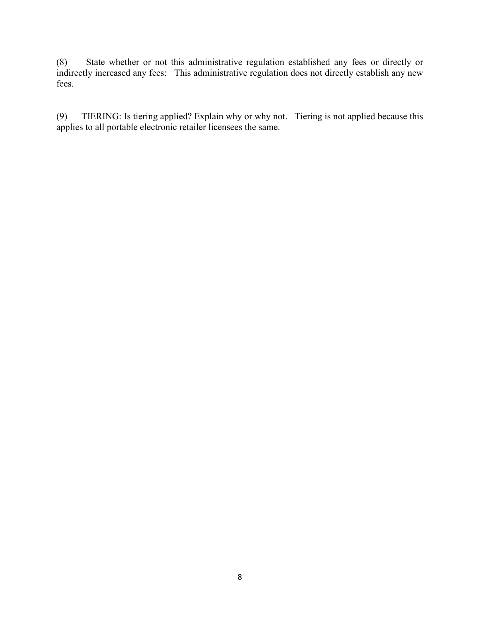(8) State whether or not this administrative regulation established any fees or directly or indirectly increased any fees: This administrative regulation does not directly establish any new fees.

(9) TIERING: Is tiering applied? Explain why or why not. Tiering is not applied because this applies to all portable electronic retailer licensees the same.